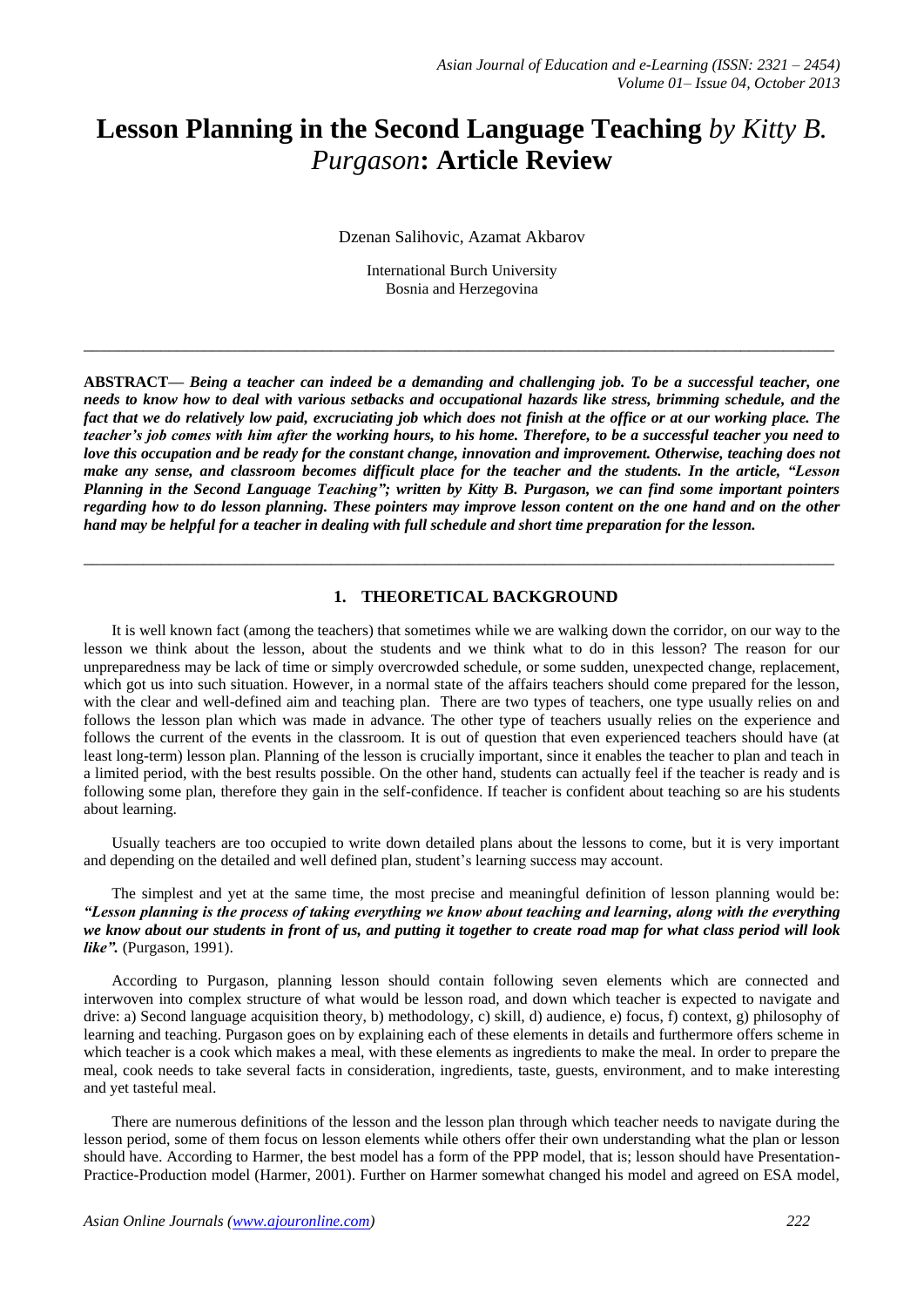# **Lesson Planning in the Second Language Teaching** *by Kitty B. Purgason***: Article Review**

Dzenan Salihovic, Azamat Akbarov

International Burch University Bosnia and Herzegovina

**\_\_\_\_\_\_\_\_\_\_\_\_\_\_\_\_\_\_\_\_\_\_\_\_\_\_\_\_\_\_\_\_\_\_\_\_\_\_\_\_\_\_\_\_\_\_\_\_\_\_\_\_\_\_\_\_\_\_\_\_\_\_\_\_\_\_\_\_\_\_\_\_\_\_\_\_\_\_\_\_\_\_\_\_\_\_\_\_**

**ABSTRACT—** *Being a teacher can indeed be a demanding and challenging job. To be a successful teacher, one needs to know how to deal with various setbacks and occupational hazards like stress, brimming schedule, and the fact that we do relatively low paid, excruciating job which does not finish at the office or at our working place. The teacher's job comes with him after the working hours, to his home. Therefore, to be a successful teacher you need to love this occupation and be ready for the constant change, innovation and improvement. Otherwise, teaching does not make any sense, and classroom becomes difficult place for the teacher and the students. In the article, "Lesson Planning in the Second Language Teaching"; written by Kitty B. Purgason, we can find some important pointers regarding how to do lesson planning. These pointers may improve lesson content on the one hand and on the other hand may be helpful for a teacher in dealing with full schedule and short time preparation for the lesson.*

**\_\_\_\_\_\_\_\_\_\_\_\_\_\_\_\_\_\_\_\_\_\_\_\_\_\_\_\_\_\_\_\_\_\_\_\_\_\_\_\_\_\_\_\_\_\_\_\_\_\_\_\_\_\_\_\_\_\_\_\_\_\_\_\_\_\_\_\_\_\_\_\_\_\_\_\_\_\_\_\_\_\_\_\_\_\_\_\_**

#### **1. THEORETICAL BACKGROUND**

It is well known fact (among the teachers) that sometimes while we are walking down the corridor, on our way to the lesson we think about the lesson, about the students and we think what to do in this lesson? The reason for our unpreparedness may be lack of time or simply overcrowded schedule, or some sudden, unexpected change, replacement, which got us into such situation. However, in a normal state of the affairs teachers should come prepared for the lesson, with the clear and well-defined aim and teaching plan. There are two types of teachers, one type usually relies on and follows the lesson plan which was made in advance. The other type of teachers usually relies on the experience and follows the current of the events in the classroom. It is out of question that even experienced teachers should have (at least long-term) lesson plan. Planning of the lesson is crucially important, since it enables the teacher to plan and teach in a limited period, with the best results possible. On the other hand, students can actually feel if the teacher is ready and is following some plan, therefore they gain in the self-confidence. If teacher is confident about teaching so are his students about learning.

Usually teachers are too occupied to write down detailed plans about the lessons to come, but it is very important and depending on the detailed and well defined plan, student's learning success may account.

The simplest and yet at the same time, the most precise and meaningful definition of lesson planning would be: *"Lesson planning is the process of taking everything we know about teaching and learning, along with the everything we know about our students in front of us, and putting it together to create road map for what class period will look like".* (Purgason, 1991).

According to Purgason, planning lesson should contain following seven elements which are connected and interwoven into complex structure of what would be lesson road, and down which teacher is expected to navigate and drive: a) Second language acquisition theory, b) methodology, c) skill, d) audience, e) focus, f) context, g) philosophy of learning and teaching. Purgason goes on by explaining each of these elements in details and furthermore offers scheme in which teacher is a cook which makes a meal, with these elements as ingredients to make the meal. In order to prepare the meal, cook needs to take several facts in consideration, ingredients, taste, guests, environment, and to make interesting and yet tasteful meal.

There are numerous definitions of the lesson and the lesson plan through which teacher needs to navigate during the lesson period, some of them focus on lesson elements while others offer their own understanding what the plan or lesson should have. According to Harmer, the best model has a form of the PPP model, that is; lesson should have Presentation-Practice-Production model (Harmer, 2001). Further on Harmer somewhat changed his model and agreed on ESA model,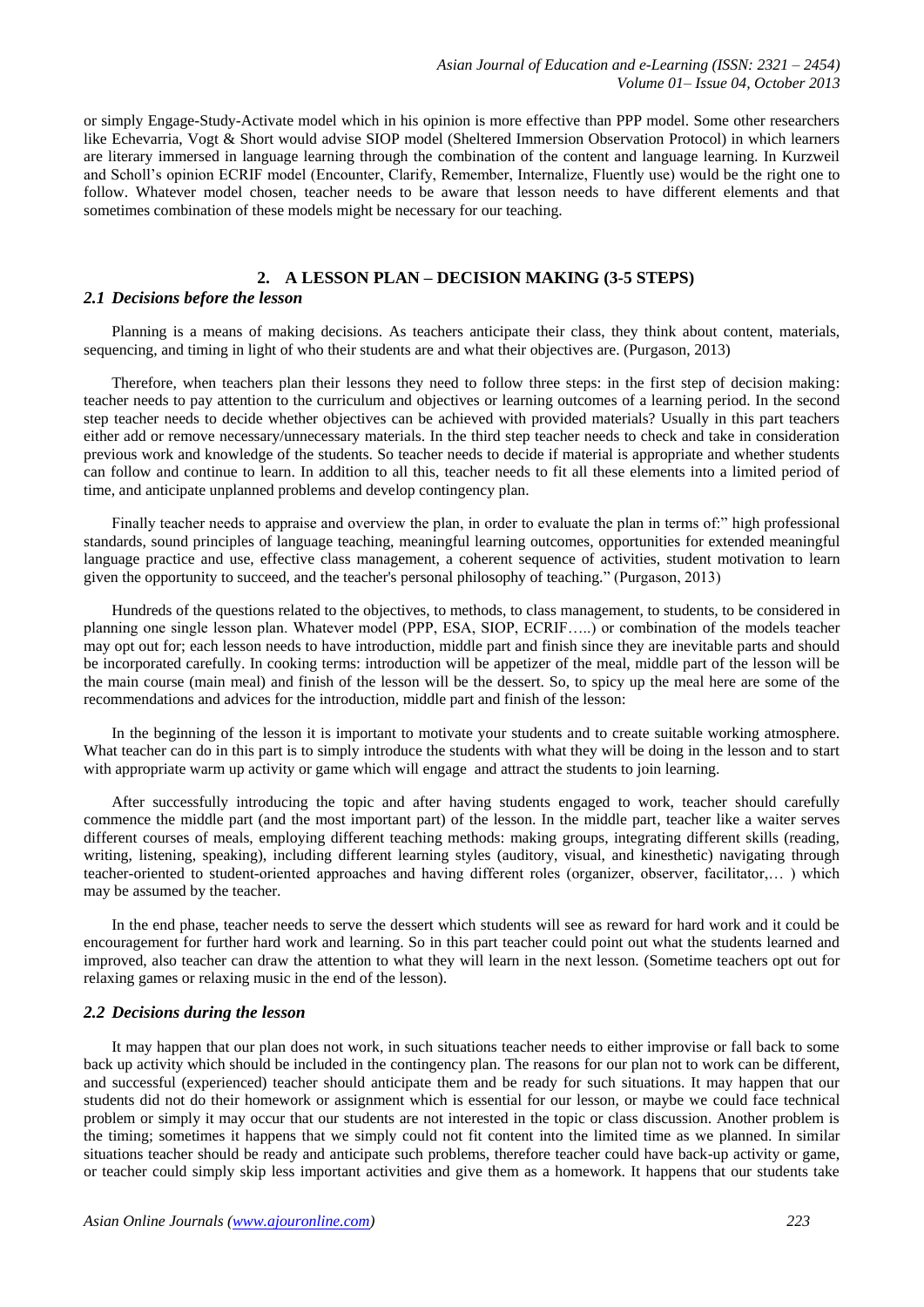or simply Engage-Study-Activate model which in his opinion is more effective than PPP model. Some other researchers like Echevarria, Vogt & Short would advise SIOP model (Sheltered Immersion Observation Protocol) in which learners are literary immersed in language learning through the combination of the content and language learning. In Kurzweil and Scholl's opinion ECRIF model (Encounter, Clarify, Remember, Internalize, Fluently use) would be the right one to follow. Whatever model chosen, teacher needs to be aware that lesson needs to have different elements and that sometimes combination of these models might be necessary for our teaching.

### **2. A LESSON PLAN – DECISION MAKING (3-5 STEPS)**

#### *2.1 Decisions before the lesson*

Planning is a means of making decisions. As teachers anticipate their class, they think about content, materials, sequencing, and timing in light of who their students are and what their objectives are. (Purgason, 2013)

Therefore, when teachers plan their lessons they need to follow three steps: in the first step of decision making: teacher needs to pay attention to the curriculum and objectives or learning outcomes of a learning period. In the second step teacher needs to decide whether objectives can be achieved with provided materials? Usually in this part teachers either add or remove necessary/unnecessary materials. In the third step teacher needs to check and take in consideration previous work and knowledge of the students. So teacher needs to decide if material is appropriate and whether students can follow and continue to learn. In addition to all this, teacher needs to fit all these elements into a limited period of time, and anticipate unplanned problems and develop contingency plan.

Finally teacher needs to appraise and overview the plan, in order to evaluate the plan in terms of." high professional standards, sound principles of language teaching, meaningful learning outcomes, opportunities for extended meaningful language practice and use, effective class management, a coherent sequence of activities, student motivation to learn given the opportunity to succeed, and the teacher's personal philosophy of teaching." (Purgason, 2013)

Hundreds of the questions related to the objectives, to methods, to class management, to students, to be considered in planning one single lesson plan. Whatever model (PPP, ESA, SIOP, ECRIF…..) or combination of the models teacher may opt out for; each lesson needs to have introduction, middle part and finish since they are inevitable parts and should be incorporated carefully. In cooking terms: introduction will be appetizer of the meal, middle part of the lesson will be the main course (main meal) and finish of the lesson will be the dessert. So, to spicy up the meal here are some of the recommendations and advices for the introduction, middle part and finish of the lesson:

In the beginning of the lesson it is important to motivate your students and to create suitable working atmosphere. What teacher can do in this part is to simply introduce the students with what they will be doing in the lesson and to start with appropriate warm up activity or game which will engage and attract the students to join learning.

After successfully introducing the topic and after having students engaged to work, teacher should carefully commence the middle part (and the most important part) of the lesson. In the middle part, teacher like a waiter serves different courses of meals, employing different teaching methods: making groups, integrating different skills (reading, writing, listening, speaking), including different learning styles (auditory, visual, and kinesthetic) navigating through teacher-oriented to student-oriented approaches and having different roles (organizer, observer, facilitator,… ) which may be assumed by the teacher.

In the end phase, teacher needs to serve the dessert which students will see as reward for hard work and it could be encouragement for further hard work and learning. So in this part teacher could point out what the students learned and improved, also teacher can draw the attention to what they will learn in the next lesson. (Sometime teachers opt out for relaxing games or relaxing music in the end of the lesson).

#### *2.2 Decisions during the lesson*

It may happen that our plan does not work, in such situations teacher needs to either improvise or fall back to some back up activity which should be included in the contingency plan. The reasons for our plan not to work can be different, and successful (experienced) teacher should anticipate them and be ready for such situations. It may happen that our students did not do their homework or assignment which is essential for our lesson, or maybe we could face technical problem or simply it may occur that our students are not interested in the topic or class discussion. Another problem is the timing; sometimes it happens that we simply could not fit content into the limited time as we planned. In similar situations teacher should be ready and anticipate such problems, therefore teacher could have back-up activity or game, or teacher could simply skip less important activities and give them as a homework. It happens that our students take